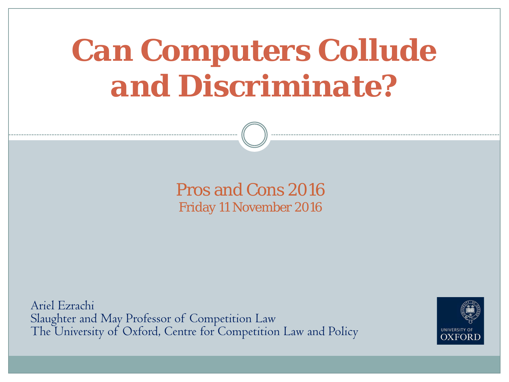# *Can Computers Collude and Discriminate?*

#### Pros and Cons 2016 Friday 11 November 2016

Ariel Ezrachi Slaughter and May Professor of Competition Law The University of Oxford, Centre for Competition Law and Policy

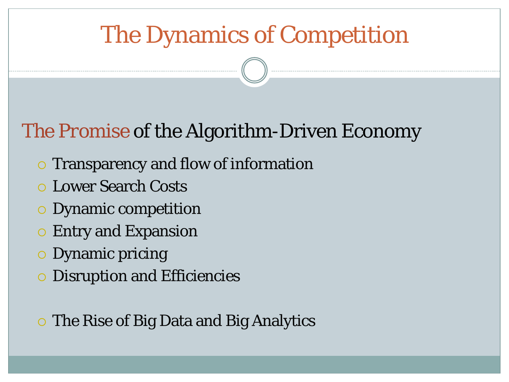# The Dynamics of Competition

#### *The Promise* of the Algorithm-Driven Economy

- **o Transparency and flow of information**
- Lower Search Costs
- Dynamic competition
- **Entry and Expansion**
- Dynamic pricing
- Disruption and Efficiencies
- **The Rise of Big Data and Big Analytics**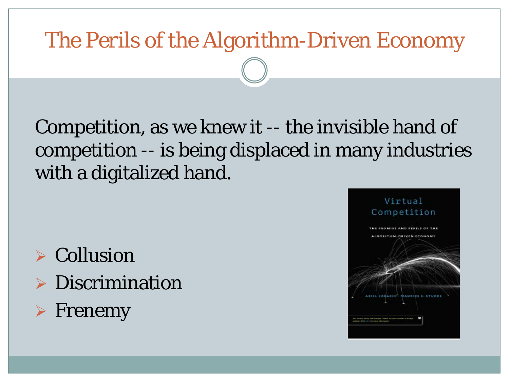#### *The Perils* of the Algorithm-Driven Economy

#### Competition, as we knew it -- the invisible hand of competition -- is being displaced in many industries with a digitalized hand.

 $\triangleright$  Collusion **Discrimination**  $\triangleright$  Frenemy

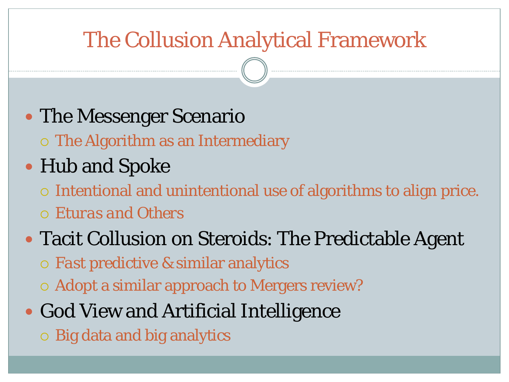### The Collusion Analytical Framework

#### • The Messenger Scenario

The Algorithm as an Intermediary

#### • Hub and Spoke

- Intentional and unintentional use of algorithms to align price.
- *Eturas and Others*

#### Tacit Collusion on Steroids: The Predictable Agent

- *Fast* predictive & similar analytics
- $\circ$  Adopt a similar approach to Mergers review?

### • God View and Artificial Intelligence

Big data and big analytics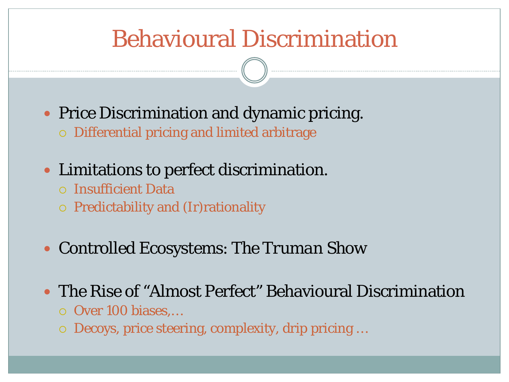# Behavioural Discrimination

- Price Discrimination and dynamic pricing. Differential pricing and limited arbitrage
- Limitations to perfect discrimination.
	- Insufficient Data
	- Predictability and (Ir)rationality
- Controlled Ecosystems: *The Truman Show*
- The Rise of "Almost Perfect" Behavioural Discrimination
	- Over 100 biases,…
	- Decoys, price steering, complexity, drip pricing …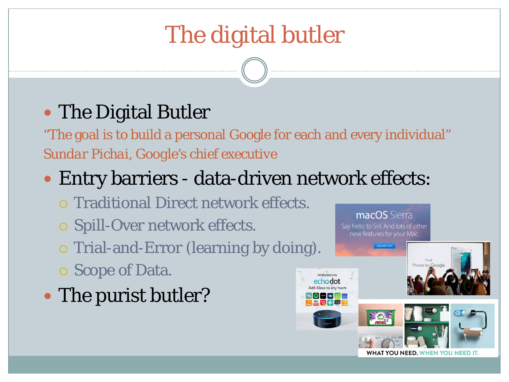# The digital butler

#### • The Digital Butler

"The goal is to build a personal Google for each and every individual" *Sundar Pichai, Google's chief executive*

#### • Entry barriers - data-driven network effects:

- Traditional Direct network effects.
- o Spill-Over network effects.
- o Trial-and-Error (learning by doing).
- Scope of Data.
- The purist butler?



macOS Sierra Say hello to Siri. And lots of other new features for your Mac.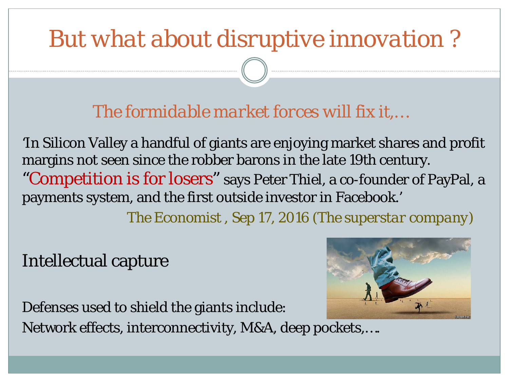# *But what about disruptive innovation ?*

*The formidable market forces will fix it,…*

'In Silicon Valley a handful of giants are enjoying market shares and profit margins not seen since the robber barons in the late 19th century. "Competition is for losers" says Peter Thiel, a co-founder of PayPal, a payments system, and the first outside investor in Facebook.'

*The Economist , Sep 17, 2016 (The superstar company)*

Intellectual capture



Defenses used to shield the giants include: Network effects, interconnectivity, M&A, deep pockets,….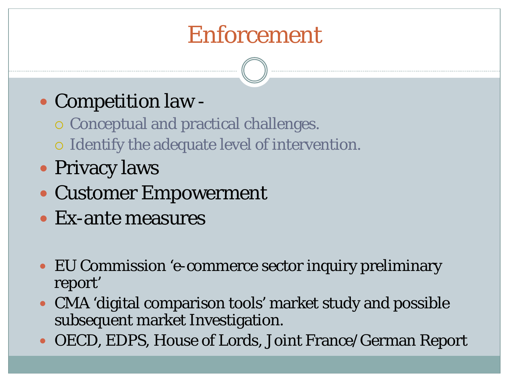# Enforcement

#### • Competition law -

- o Conceptual and practical challenges.
- o Identify the adequate level of intervention.
- Privacy laws
- Customer Empowerment
- Ex-ante measures
- EU Commission 'e-commerce sector inquiry preliminary report'
- CMA 'digital comparison tools' market study and possible subsequent market Investigation.
- OECD, EDPS, House of Lords, Joint France/German Report